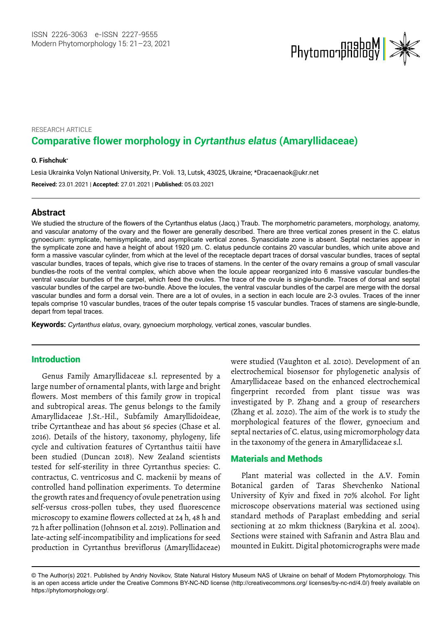

# RESEARCH ARTICLE **Comparative flower morphology in** *Cyrtanthus elatus* **(Amaryllidaceae)**

#### **O. Fishchuk\***

**Received:** 23.01.2021 | **Accepted:** 27.01.2021 | **Published:** 05.03.2021 Lesia Ukrainka Volyn National University, Pr. Voli. 13, Lutsk, 43025, Ukraine; \*Dracaenaok@ukr.net

### **Abstract**

We studied the structure of the flowers of the Cyrtanthus elatus (Jacq.) Traub. The morphometric parameters, morphology, anatomy, and vascular anatomy of the ovary and the flower are generally described. There are three vertical zones present in the C. elatus gynoecium: symplicate, hemisymplicate, and asymplicate vertical zones. Synascidiate zone is absent. Septal nectaries appear in the symplicate zone and have a height of about 1920 μm. C. elatus peduncle contains 20 vascular bundles, which unite above and form a massive vascular cylinder, from which at the level of the receptacle depart traces of dorsal vascular bundles, traces of septal vascular bundles, traces of tepals, which give rise to traces of stamens. In the center of the ovary remains a group of small vascular bundles-the roots of the ventral complex, which above when the locule appear reorganized into 6 massive vascular bundles-the ventral vascular bundles of the carpel, which feed the ovules. The trace of the ovule is single-bundle. Traces of dorsal and septal vascular bundles of the carpel are two-bundle. Above the locules, the ventral vascular bundles of the carpel are merge with the dorsal vascular bundles and form a dorsal vein. There are a lot of ovules, in a section in each locule are 2-3 ovules. Traces of the inner tepals comprise 10 vascular bundles, traces of the outer tepals comprise 15 vascular bundles. Traces of stamens are single-bundle, depart from tepal traces.

**Keywords:** *Cyrtanthus elatus*, ovary, gynoecium morphology, vertical zones, vascular bundles.

## Introduction

Genus Family Amaryllidaceae s.l. represented by a large number of ornamental plants, with large and bright flowers. Most members of this family grow in tropical and subtropical areas. The genus belongs to the family Amaryllidaceae J.St.-Hil., Subfamily Amaryllidoideae, tribe Cyrtantheae and has about 56 species (Chase et al. 2016). Details of the history, taxonomy, phylogeny, life cycle and cultivation features of Cyrtanthus taitii have been studied (Duncan 2018). New Zealand scientists tested for self-sterility in three Cyrtanthus species: C. contractus, C. ventricosus and C. mackenii by means of controlled hand pollination experiments. To determine the growth rates and frequency of ovule penetration using self-versus cross-pollen tubes, they used fluorescence microscopy to examine flowers collected at 24 h, 48 h and 72 h after pollination (Johnson et al. 2019). Pollination and late-acting self-incompatibility and implications for seed production in Cyrtanthus breviflorus (Amaryllidaceae)

were studied (Vaughton et al. 2010). Development of an electrochemical biosensor for phylogenetic analysis of Amaryllidaceae based on the enhanced electrochemical fingerprint recorded from plant tissue was was investigated by P. Zhang and a group of researchers (Zhang et al. 2020). The aim of the work is to study the morphological features of the flower, gynoecium and septal nectaries of C. elatus, using micromorphology data in the taxonomy of the genera in Amaryllidaceae s.l.

## Materials and Methods

Plant material was collected in the A.V. Fomin Botanical garden of Taras Shevchenko National University of Kyiv and fixed in 70% alcohol. For light microscope observations material was sectioned using standard methods of Paraplast embedding and serial sectioning at 20 mkm thickness (Barykina et al. 2004). Sections were stained with Safranin and Astra Blau and mounted in Eukitt. Digital photomicrographs were made

<sup>©</sup> The Author(s) 2021. Published by Andriy Novikov, State Natural History Museum NAS of Ukraine on behalf of Modern Phytomorphology. This is an open access article under the Creative Commons BY-NC-ND license (http://creativecommons.org/ licenses/by-nc-nd/4.0/) freely available on https://phytomorphology.org/.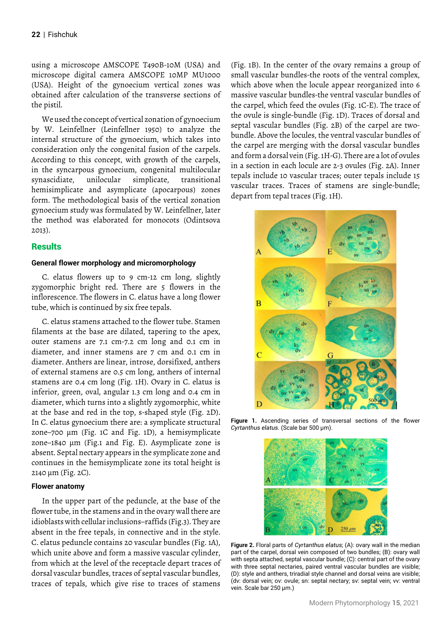using a microscope AMSCOPE T490B-10M (USA) and microscope digital camera AMSCOPE 10MP MU1000 (USA). Height of the gynoecium vertical zones was obtained after calculation of the transverse sections of the pistil.

We used the concept of vertical zonation of gynoecium by W. Leinfellner (Leinfellner 1950) to analyze the internal structure of the gynoecium, which takes into consideration only the congenital fusion of the carpels. According to this concept, with growth of the carpels, in the syncarpous gynoecium, congenital multilocular synascidiate, unilocular simplicate, transitional hemisimplicate and asymplicate (apocarpous) zones form. The methodological basis of the vertical zonation gynoecium study was formulated by W. Leinfellner, later the method was elaborated for monocots (Odintsova 2013).

## **Results**

### **General flower morphology and micromorphology**

C. elatus flowers up to 9 cm-12 cm long, slightly zygomorphic bright red. There are 5 flowers in the inflorescence. The flowers in C. elatus have a long flower tube, which is continued by six free tepals.

C. elatus stamens attached to the flower tube. Stamen filaments at the base are dilated, tapering to the apex, outer stamens are 7.1 cm-7.2 cm long and 0.1 cm in diameter, and inner stamens are 7 cm and 0.1 cm in diameter. Anthers are linear, introse, dorsifixed, anthers of external stamens are 0.5 cm long, anthers of internal stamens are 0.4 cm long (Fig. 1H). Ovary in C. elatus is inferior, green, oval, angular 1.3 cm long and 0.4 cm in diameter, which turns into a slightly zygomorphic, white at the base and red in the top, s-shaped style (Fig. 2D). In C. elatus gynoecium there are: a symplicate structural zone–700 μm (Fig. 1C and Fig. 1D), a hemisymplicate zone–1840 μm (Fig.1 and Fig. E). Asymplicate zone is absent. Septal nectary appears in the symplicate zone and continues in the hemisymplicate zone its total height is 2140 μm (Fig. 2C).

### **Flower anatomy**

In the upper part of the peduncle, at the base of the flower tube, in the stamens and in the ovary wall there are idioblasts with cellular inclusions–raffids (Fig.3). They are absent in the free tepals, in connective and in the style. C. elatus peduncle contains 20 vascular bundles (Fig. 1A), which unite above and form a massive vascular cylinder, from which at the level of the receptacle depart traces of dorsal vascular bundles, traces of septal vascular bundles, traces of tepals, which give rise to traces of stamens

(Fig. 1B). In the center of the ovary remains a group of small vascular bundles-the roots of the ventral complex, which above when the locule appear reorganized into 6 massive vascular bundles-the ventral vascular bundles of the carpel, which feed the ovules (Fig. 1C-E). The trace of the ovule is single-bundle (Fig. 1D). Traces of dorsal and septal vascular bundles (Fig. 2B) of the carpel are twobundle. Above the locules, the ventral vascular bundles of the carpel are merging with the dorsal vascular bundles and form a dorsal vein (Fig. 1H-G). There are a lot of ovules in a section in each locule are 2-3 ovules (Fig. 2A). Inner tepals include 10 vascular traces; outer tepals include 15 vascular traces. Traces of stamens are single-bundle; depart from tepal traces (Fig. 1H).



**Figure 1.** Ascending series of transversal sections of the flower *Cyrtanthus elatus.* (Scale bar 500 μm).



**Figure 2.** Floral parts of *Cyrtanthus elatus*; (А): ovary wall in the median part of the carpel, dorsal vein composed of two bundles; (B): ovary wall with septa attached, septal vascular bundle; (C): central part of the ovary with three septal nectaries, paired ventral vascular bundles are visible; (D): style and anthers, triradial style channel and dorsal veins are visible; (dv: dorsal vein; ov: ovule; sn: septal nectary; sv: septal vein; vv: ventral vein. Scale bar 250 μm.)